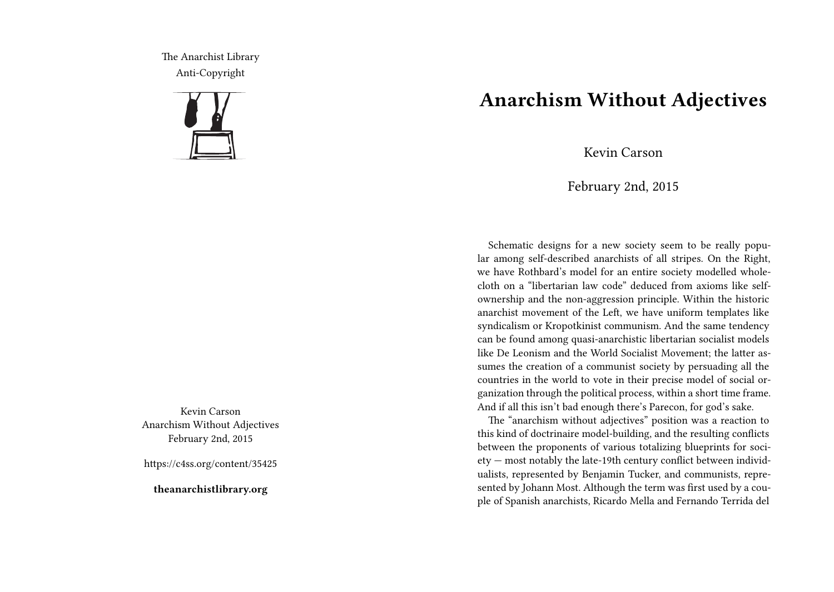The Anarchist Library Anti-Copyright



Kevin Carson Anarchism Without Adjectives February 2nd, 2015

https://c4ss.org/content/35425

**theanarchistlibrary.org**

## **Anarchism Without Adjectives**

Kevin Carson

February 2nd, 2015

Schematic designs for a new society seem to be really popular among self-described anarchists of all stripes. On the Right, we have Rothbard's model for an entire society modelled wholecloth on a "libertarian law code" deduced from axioms like selfownership and the non-aggression principle. Within the historic anarchist movement of the Left, we have uniform templates like syndicalism or Kropotkinist communism. And the same tendency can be found among quasi-anarchistic libertarian socialist models like De Leonism and the World Socialist Movement; the latter assumes the creation of a communist society by persuading all the countries in the world to vote in their precise model of social organization through the political process, within a short time frame. And if all this isn't bad enough there's Parecon, for god's sake.

The "anarchism without adjectives" position was a reaction to this kind of doctrinaire model-building, and the resulting conflicts between the proponents of various totalizing blueprints for society — most notably the late-19th century conflict between individualists, represented by Benjamin Tucker, and communists, represented by Johann Most. Although the term was first used by a couple of Spanish anarchists, Ricardo Mella and Fernando Terrida del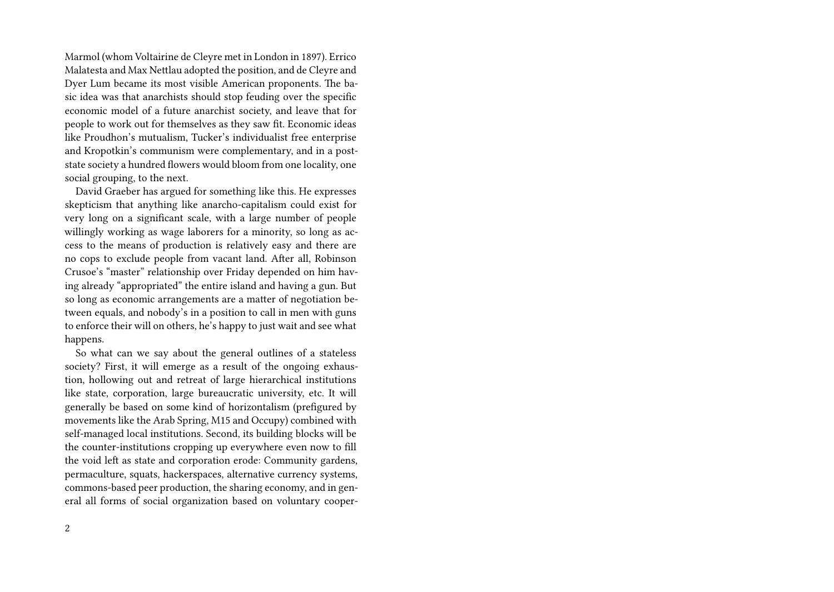Marmol (whom Voltairine de Cleyre met in London in 1897). Errico Malatesta and Max Nettlau adopted the position, and de Cleyre and Dyer Lum became its most visible American proponents. The basic idea was that anarchists should stop feuding over the specific economic model of a future anarchist society, and leave that for people to work out for themselves as they saw fit. Economic ideas like Proudhon's mutualism, Tucker's individualist free enterprise and Kropotkin's communism were complementary, and in a poststate society a hundred flowers would bloom from one locality, one social grouping, to the next.

David Graeber has argued for something like this. He expresses skepticism that anything like anarcho-capitalism could exist for very long on a significant scale, with a large number of people willingly working as wage laborers for a minority, so long as access to the means of production is relatively easy and there are no cops to exclude people from vacant land. After all, Robinson Crusoe's "master" relationship over Friday depended on him having already "appropriated" the entire island and having a gun. But so long as economic arrangements are a matter of negotiation between equals, and nobody's in a position to call in men with guns to enforce their will on others, he's happy to just wait and see what happens.

So what can we say about the general outlines of a stateless society? First, it will emerge as a result of the ongoing exhaustion, hollowing out and retreat of large hierarchical institutions like state, corporation, large bureaucratic university, etc. It will generally be based on some kind of horizontalism (prefigured by movements like the Arab Spring, M15 and Occupy) combined with self-managed local institutions. Second, its building blocks will be the counter-institutions cropping up everywhere even now to fill the void left as state and corporation erode: Community gardens, permaculture, squats, hackerspaces, alternative currency systems, commons-based peer production, the sharing economy, and in general all forms of social organization based on voluntary cooper-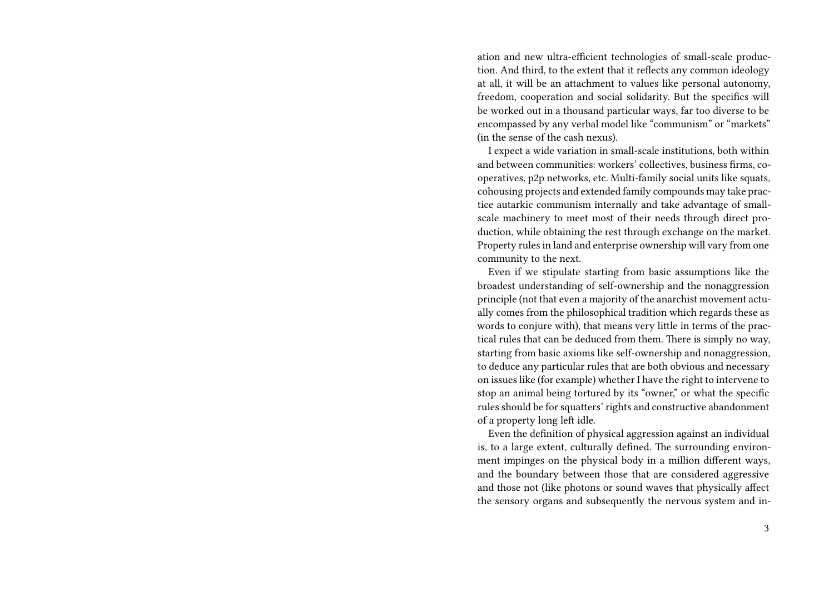ation and new ultra-efficient technologies of small-scale production. And third, to the extent that it reflects any common ideology at all, it will be an attachment to values like personal autonomy, freedom, cooperation and social solidarity. But the specifics will be worked out in a thousand particular ways, far too diverse to be encompassed by any verbal model like "communism" or "markets" (in the sense of the cash nexus).

I expect a wide variation in small-scale institutions, both within and between communities: workers' collectives, business firms, cooperatives, p2p networks, etc. Multi-family social units like squats, cohousing projects and extended family compounds may take practice autarkic communism internally and take advantage of smallscale machinery to meet most of their needs through direct production, while obtaining the rest through exchange on the market. Property rules in land and enterprise ownership will vary from one community to the next.

Even if we stipulate starting from basic assumptions like the broadest understanding of self-ownership and the nonaggression principle (not that even a majority of the anarchist movement actually comes from the philosophical tradition which regards these as words to conjure with), that means very little in terms of the practical rules that can be deduced from them. There is simply no way, starting from basic axioms like self-ownership and nonaggression, to deduce any particular rules that are both obvious and necessary on issues like (for example) whether I have the right to intervene to stop an animal being tortured by its "owner," or what the specific rules should be for squatters' rights and constructive abandonment of a property long left idle.

Even the definition of physical aggression against an individual is, to a large extent, culturally defined. The surrounding environment impinges on the physical body in a million different ways, and the boundary between those that are considered aggressive and those not (like photons or sound waves that physically affect the sensory organs and subsequently the nervous system and in